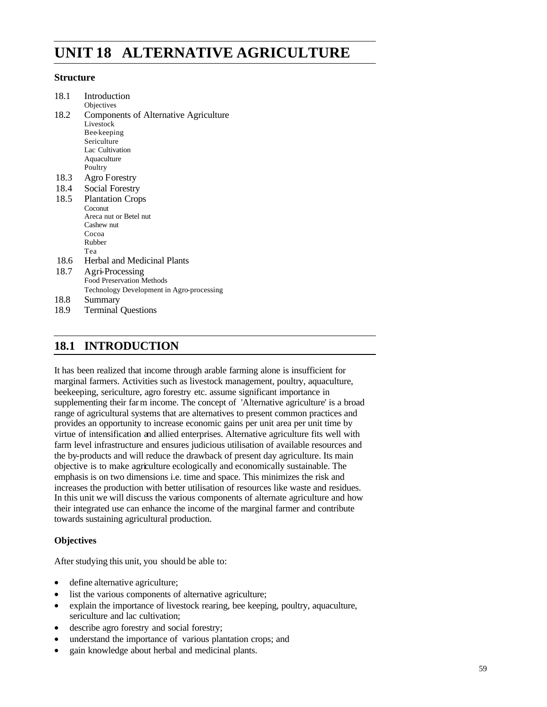# **UNIT 18 ALTERNATIVE AGRICULTURE**

#### **Structure**

| 18.2<br>Components of Alternative Agriculture<br>Livestock<br>Bee-keeping<br>Sericulture<br>Lac Cultivation<br>Aquaculture<br>Poultry<br>18.3<br>Agro Forestry<br>18.4<br>Social Forestry<br>18.5<br><b>Plantation Crops</b><br>Coconut<br>Areca nut or Betel nut<br>Cashew nut<br>Cocoa<br>Rubber<br>Tea<br>18.6<br>Herbal and Medicinal Plants<br>18.7<br>Agri-Processing<br><b>Food Preservation Methods</b><br>Technology Development in Agro-processing<br>Summary<br>18.9<br><b>Terminal Questions</b> | 18.1 | Introduction |
|--------------------------------------------------------------------------------------------------------------------------------------------------------------------------------------------------------------------------------------------------------------------------------------------------------------------------------------------------------------------------------------------------------------------------------------------------------------------------------------------------------------|------|--------------|
| 18.8                                                                                                                                                                                                                                                                                                                                                                                                                                                                                                         |      | Objectives   |
|                                                                                                                                                                                                                                                                                                                                                                                                                                                                                                              |      |              |
|                                                                                                                                                                                                                                                                                                                                                                                                                                                                                                              |      |              |
|                                                                                                                                                                                                                                                                                                                                                                                                                                                                                                              |      |              |
|                                                                                                                                                                                                                                                                                                                                                                                                                                                                                                              |      |              |
|                                                                                                                                                                                                                                                                                                                                                                                                                                                                                                              |      |              |
|                                                                                                                                                                                                                                                                                                                                                                                                                                                                                                              |      |              |
|                                                                                                                                                                                                                                                                                                                                                                                                                                                                                                              |      |              |
|                                                                                                                                                                                                                                                                                                                                                                                                                                                                                                              |      |              |
|                                                                                                                                                                                                                                                                                                                                                                                                                                                                                                              |      |              |
|                                                                                                                                                                                                                                                                                                                                                                                                                                                                                                              |      |              |
|                                                                                                                                                                                                                                                                                                                                                                                                                                                                                                              |      |              |
|                                                                                                                                                                                                                                                                                                                                                                                                                                                                                                              |      |              |
|                                                                                                                                                                                                                                                                                                                                                                                                                                                                                                              |      |              |
|                                                                                                                                                                                                                                                                                                                                                                                                                                                                                                              |      |              |
|                                                                                                                                                                                                                                                                                                                                                                                                                                                                                                              |      |              |
|                                                                                                                                                                                                                                                                                                                                                                                                                                                                                                              |      |              |
|                                                                                                                                                                                                                                                                                                                                                                                                                                                                                                              |      |              |
|                                                                                                                                                                                                                                                                                                                                                                                                                                                                                                              |      |              |
|                                                                                                                                                                                                                                                                                                                                                                                                                                                                                                              |      |              |
|                                                                                                                                                                                                                                                                                                                                                                                                                                                                                                              |      |              |
|                                                                                                                                                                                                                                                                                                                                                                                                                                                                                                              |      |              |
|                                                                                                                                                                                                                                                                                                                                                                                                                                                                                                              |      |              |
|                                                                                                                                                                                                                                                                                                                                                                                                                                                                                                              |      |              |

# **18.1 INTRODUCTION**

It has been realized that income through arable farming alone is insufficient for marginal farmers. Activities such as livestock management, poultry, aquaculture, beekeeping, sericulture, agro forestry etc. assume significant importance in supplementing their farm income. The concept of 'Alternative agriculture' is a broad range of agricultural systems that are alternatives to present common practices and provides an opportunity to increase economic gains per unit area per unit time by virtue of intensification and allied enterprises. Alternative agriculture fits well with farm level infrastructure and ensures judicious utilisation of available resources and the by-products and will reduce the drawback of present day agriculture. Its main objective is to make agriculture ecologically and economically sustainable. The emphasis is on two dimensions i.e. time and space. This minimizes the risk and increases the production with better utilisation of resources like waste and residues. In this unit we will discuss the various components of alternate agriculture and how their integrated use can enhance the income of the marginal farmer and contribute towards sustaining agricultural production.

### **Objectives**

After studying this unit, you should be able to:

- define alternative agriculture;
- list the various components of alternative agriculture;
- explain the importance of livestock rearing, bee keeping, poultry, aquaculture, sericulture and lac cultivation;
- describe agro forestry and social forestry;
- understand the importance of various plantation crops; and
- gain knowledge about herbal and medicinal plants.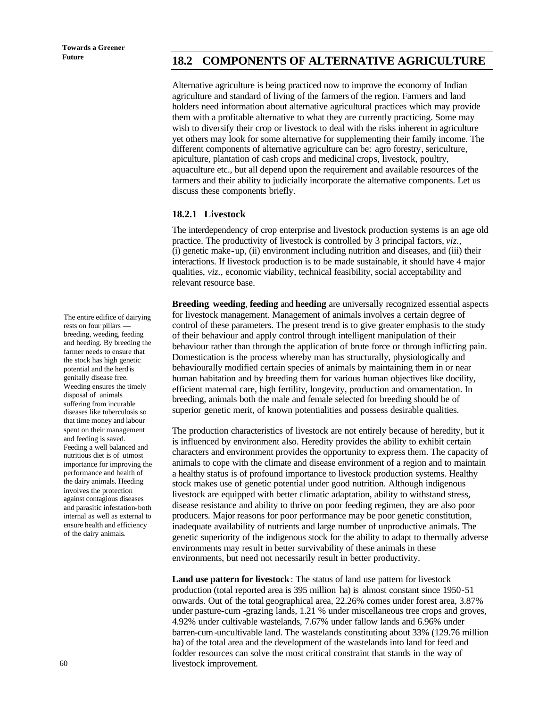# Future **18.2 COMPONENTS OF ALTERNATIVE AGRICULTURE**

Alternative agriculture is being practiced now to improve the economy of Indian agriculture and standard of living of the farmers of the region. Farmers and land holders need information about alternative agricultural practices which may provide them with a profitable alternative to what they are currently practicing. Some may wish to diversify their crop or livestock to deal with the risks inherent in agriculture yet others may look for some alternative for supplementing their family income. The different components of alternative agriculture can be: agro forestry, sericulture, apiculture, plantation of cash crops and medicinal crops, livestock, poultry, aquaculture etc., but all depend upon the requirement and available resources of the farmers and their ability to judicially incorporate the alternative components. Let us discuss these components briefly.

#### **18.2.1 Livestock**

The interdependency of crop enterprise and livestock production systems is an age old practice. The productivity of livestock is controlled by 3 principal factors, *viz.,* (i) genetic make-up, (ii) environment including nutrition and diseases, and (iii) their interactions. If livestock production is to be made sustainable, it should have 4 major qualities, *viz.,* economic viability, technical feasibility, social acceptability and relevant resource base.

**Breeding**, **weeding**, **feeding** and **heeding** are universally recognized essential aspects for livestock management. Management of animals involves a certain degree of control of these parameters. The present trend is to give greater emphasis to the study of their behaviour and apply control through intelligent manipulation of their behaviour rather than through the application of brute force or through inflicting pain. Domestication is the process whereby man has structurally, physiologically and behaviourally modified certain species of animals by maintaining them in or near human habitation and by breeding them for various human objectives like docility, efficient maternal care, high fertility, longevity, production and ornamentation. In breeding, animals both the male and female selected for breeding should be of superior genetic merit, of known potentialities and possess desirable qualities.

The production characteristics of livestock are not entirely because of heredity, but it is influenced by environment also. Heredity provides the ability to exhibit certain characters and environment provides the opportunity to express them. The capacity of animals to cope with the climate and disease environment of a region and to maintain a healthy status is of profound importance to livestock production systems. Healthy stock makes use of genetic potential under good nutrition. Although indigenous livestock are equipped with better climatic adaptation, ability to withstand stress, disease resistance and ability to thrive on poor feeding regimen, they are also poor producers. Major reasons for poor performance may be poor genetic constitution, inadequate availability of nutrients and large number of unproductive animals. The genetic superiority of the indigenous stock for the ability to adapt to thermally adverse environments may result in better survivability of these animals in these environments, but need not necessarily result in better productivity.

**Land use pattern for livestock**: The status of land use pattern for livestock production (total reported area is 395 million ha) is almost constant since 1950-51 onwards. Out of the total geographical area, 22.26% comes under forest area, 3.87% under pasture-cum -grazing lands, 1.21 % under miscellaneous tree crops and groves, 4.92% under cultivable wastelands, 7.67% under fallow lands and 6.96% under barren-cum-uncultivable land. The wastelands constituting about 33% (129.76 million ha) of the total area and the development of the wastelands into land for feed and fodder resources can solve the most critical constraint that stands in the way of livestock improvement.

The entire edifice of dairying rests on four pillars breeding, weeding, feeding and heeding. By breeding the farmer needs to ensure that the stock has high genetic potential and the herd is genitally disease free. Weeding ensures the timely disposal of animals suffering from incurable diseases like tuberculosis so that time money and labour spent on their management and feeding is saved. Feeding a well balanced and nutritious diet is of utmost importance for improving the performance and health of the dairy animals. Heeding involves the protection against contagious diseases and parasitic infestation-both internal as well as external to ensure health and efficiency of the dairy animals.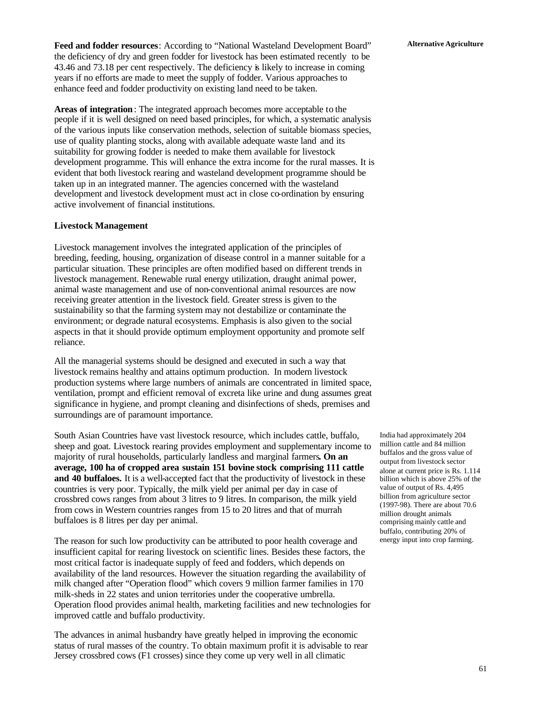Feed and fodder resources: According to "National Wasteland Development Board" Alternative Agriculture the deficiency of dry and green fodder for livestock has been estimated recently to be 43.46 and 73.18 per cent respectively. The deficiency is likely to increase in coming years if no efforts are made to meet the supply of fodder. Various approaches to enhance feed and fodder productivity on existing land need to be taken.

**Areas of integration**: The integrated approach becomes more acceptable to the people if it is well designed on need based principles, for which, a systematic analysis of the various inputs like conservation methods, selection of suitable biomass species, use of quality planting stocks, along with available adequate waste land and its suitability for growing fodder is needed to make them available for livestock development programme. This will enhance the extra income for the rural masses. It is evident that both livestock rearing and wasteland development programme should be taken up in an integrated manner. The agencies concerned with the wasteland development and livestock development must act in close co-ordination by ensuring active involvement of financial institutions.

#### **Livestock Management**

Livestock management involves the integrated application of the principles of breeding, feeding, housing, organization of disease control in a manner suitable for a particular situation. These principles are often modified based on different trends in livestock management. Renewable rural energy utilization, draught animal power, animal waste management and use of non-conventional animal resources are now receiving greater attention in the livestock field. Greater stress is given to the sustainability so that the farming system may not destabilize or contaminate the environment; or degrade natural ecosystems. Emphasis is also given to the social aspects in that it should provide optimum employment opportunity and promote self reliance.

All the managerial systems should be designed and executed in such a way that livestock remains healthy and attains optimum production. In modern livestock production systems where large numbers of animals are concentrated in limited space, ventilation, prompt and efficient removal of excreta like urine and dung assumes great significance in hygiene, and prompt cleaning and disinfections of sheds, premises and surroundings are of paramount importance.

South Asian Countries have vast livestock resource, which includes cattle, buffalo, sheep and goat. Livestock rearing provides employment and supplementary income to majority of rural households, particularly landless and marginal farmers**. On an average, 100 ha of cropped area sustain 151 bovine stock comprising 111 cattle and 40 buffaloes.** It is a well-accepted fact that the productivity of livestock in these countries is very poor. Typically, the milk yield per animal per day in case of crossbred cows ranges from about 3 litres to 9 litres. In comparison, the milk yield from cows in Western countries ranges from 15 to 20 litres and that of murrah buffaloes is 8 litres per day per animal.

The reason for such low productivity can be attributed to poor health coverage and insufficient capital for rearing livestock on scientific lines. Besides these factors, the most critical factor is inadequate supply of feed and fodders, which depends on availability of the land resources. However the situation regarding the availability of milk changed after "Operation flood" which covers 9 million farmer families in 170 milk-sheds in 22 states and union territories under the cooperative umbrella. Operation flood provides animal health, marketing facilities and new technologies for improved cattle and buffalo productivity.

The advances in animal husbandry have greatly helped in improving the economic status of rural masses of the country. To obtain maximum profit it is advisable to rear Jersey crossbred cows (F1 crosses) since they come up very well in all climatic

India had approximately 204 million cattle and 84 million buffalos and the gross value of output from livestock sector alone at current price is Rs. 1.114 billion which is above 25% of the value of output of Rs. 4,495 billion from agriculture sector (1997-98). There are about 70.6 million drought animals comprising mainly cattle and buffalo, contributing 20% of energy input into crop farming.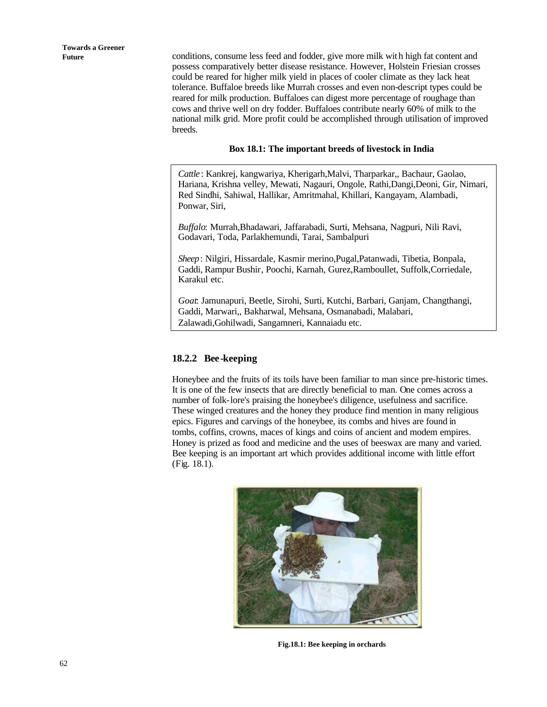**Future** conditions, consume less feed and fodder, give more milk wit h high fat content and possess comparatively better disease resistance. However, Holstein Friesian crosses could be reared for higher milk yield in places of cooler climate as they lack heat tolerance. Buffaloe breeds like Murrah crosses and even non-descript types could be reared for milk production. Buffaloes can digest more percentage of roughage than cows and thrive well on dry fodder. Buffaloes contribute nearly 60% of milk to the national milk grid. More profit could be accomplished through utilisation of improved breeds.

#### **Box 18.1: The important breeds of livestock in India**

*Cattle* : Kankrej, kangwariya, Kherigarh,Malvi, Tharparkar,, Bachaur, Gaolao, Hariana, Krishna velley, Mewati, Nagauri, Ongole, Rathi,Dangi,Deoni, Gir, Nimari, Red Sindhi, Sahiwal, Hallikar, Amritmahal, Khillari, Kangayam, Alambadi, Ponwar, Siri,

*Buffalo*: Murrah,Bhadawari, Jaffarabadi, Surti, Mehsana, Nagpuri, Nili Ravi, Godavari, Toda, Parlakhemundi, Tarai, Sambalpuri

*Sheep*: Nilgiri, Hissardale, Kasmir merino,Pugal,Patanwadi, Tibetia, Bonpala, Gaddi, Rampur Bushir, Poochi, Karnah, Gurez,Ramboullet, Suffolk,Corriedale, Karakul etc.

*Goat*: Jamunapuri, Beetle, Sirohi, Surti, Kutchi, Barbari, Ganjam, Changthangi, Gaddi, Marwari,, Bakharwal, Mehsana, Osmanabadi, Malabari, Zalawadi,Gohilwadi, Sangamneri, Kannaiadu etc.

#### **18.2.2 Bee-keeping**

Honeybee and the fruits of its toils have been familiar to man since pre-historic times. It is one of the few insects that are directly beneficial to man. One comes across a number of folk-lore's praising the honeybee's diligence, usefulness and sacrifice. These winged creatures and the honey they produce find mention in many religious epics. Figures and carvings of the honeybee, its combs and hives are found in tombs, coffins, crowns, maces of kings and coins of ancient and modem empires. Honey is prized as food and medicine and the uses of beeswax are many and varied. Bee keeping is an important art which provides additional income with little effort (Fig. 18.1).



**Fig.18.1: Bee keeping in orchards**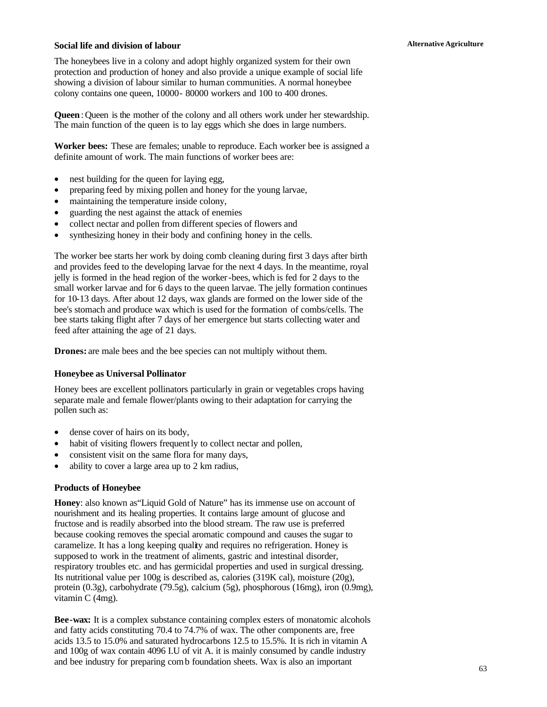#### **Alternative Agriculture Social life and division of labour**

The honeybees live in a colony and adopt highly organized system for their own protection and production of honey and also provide a unique example of social life showing a division of labour similar to human communities. A normal honeybee colony contains one queen, 10000- 80000 workers and 100 to 400 drones.

**Queen**: Queen is the mother of the colony and all others work under her stewardship. The main function of the queen is to lay eggs which she does in large numbers.

**Worker bees:** These are females; unable to reproduce. Each worker bee is assigned a definite amount of work. The main functions of worker bees are:

- nest building for the queen for laying egg,
- preparing feed by mixing pollen and honey for the young larvae,
- maintaining the temperature inside colony,
- guarding the nest against the attack of enemies
- collect nectar and pollen from different species of flowers and
- synthesizing honey in their body and confining honey in the cells.

The worker bee starts her work by doing comb cleaning during first 3 days after birth and provides feed to the developing larvae for the next 4 days. In the meantime, royal jelly is formed in the head region of the worker-bees, which is fed for 2 days to the small worker larvae and for 6 days to the queen larvae. The jelly formation continues for 10-13 days. After about 12 days, wax glands are formed on the lower side of the bee's stomach and produce wax which is used for the formation of combs/cells. The bee starts taking flight after 7 days of her emergence but starts collecting water and feed after attaining the age of 21 days.

**Drones:** are male bees and the bee species can not multiply without them.

#### **Honeybee as Universal Pollinator**

Honey bees are excellent pollinators particularly in grain or vegetables crops having separate male and female flower/plants owing to their adaptation for carrying the pollen such as:

- dense cover of hairs on its body,
- habit of visiting flowers frequently to collect nectar and pollen,
- consistent visit on the same flora for many days,
- ability to cover a large area up to 2 km radius,

#### **Products of Honeybee**

**Honey**: also known as"Liquid Gold of Nature" has its immense use on account of nourishment and its healing properties. It contains large amount of glucose and fructose and is readily absorbed into the blood stream. The raw use is preferred because cooking removes the special aromatic compound and causes the sugar to caramelize. It has a long keeping quality and requires no refrigeration. Honey is supposed to work in the treatment of aliments, gastric and intestinal disorder, respiratory troubles etc. and has germicidal properties and used in surgical dressing. Its nutritional value per 100g is described as, calories (319K cal), moisture (20g), protein (0.3g), carbohydrate (79.5g), calcium (5g), phosphorous (16mg), iron (0.9mg), vitamin C (4mg).

**Bee-wax:** It is a complex substance containing complex esters of monatomic alcohols and fatty acids constituting 70.4 to 74.7% of wax. The other components are, free acids 13.5 to 15.0% and saturated hydrocarbons 12.5 to 15.5%. It is rich in vitamin A and 100g of wax contain 4096 I.U of vit A. it is mainly consumed by candle industry and bee industry for preparing comb foundation sheets. Wax is also an important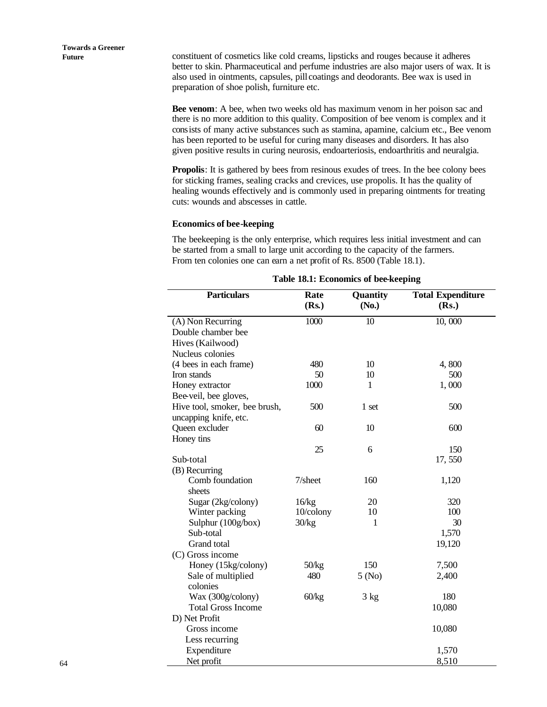**Future** constituent of cosmetics like cold creams, lipsticks and rouges because it adheres better to skin. Pharmaceutical and perfume industries are also major users of wax. It is also used in ointments, capsules, pill coatings and deodorants. Bee wax is used in preparation of shoe polish, furniture etc.

> **Bee venom**: A bee, when two weeks old has maximum venom in her poison sac and there is no more addition to this quality. Composition of bee venom is complex and it consists of many active substances such as stamina, apamine, calcium etc., Bee venom has been reported to be useful for curing many diseases and disorders. It has also given positive results in curing neurosis, endoarteriosis, endoarthritis and neuralgia.

**Propolis**: It is gathered by bees from resinous exudes of trees. In the bee colony bees for sticking frames, sealing cracks and crevices, use propolis. It has the quality of healing wounds effectively and is commonly used in preparing ointments for treating cuts: wounds and abscesses in cattle.

#### **Economics of bee-keeping**

The beekeeping is the only enterprise, which requires less initial investment and can be started from a small to large unit according to the capacity of the farmers. From ten colonies one can earn a net profit of Rs. 8500 (Table 18.1).

| <b>Particulars</b>                      | Rate       | Quantity | <b>Total Expenditure</b> |
|-----------------------------------------|------------|----------|--------------------------|
|                                         | (Rs.)      | (No.)    | (Rs.)                    |
|                                         | 1000       | 10       | 10,000                   |
| (A) Non Recurring<br>Double chamber bee |            |          |                          |
|                                         |            |          |                          |
| Hives (Kailwood)                        |            |          |                          |
| Nucleus colonies                        |            |          |                          |
| (4 bees in each frame)                  | 480        | 10       | 4,800                    |
| Iron stands                             | 50         | 10       | 500                      |
| Honey extractor                         | 1000       | 1        | 1,000                    |
| Bee-veil, bee gloves,                   |            |          |                          |
| Hive tool, smoker, bee brush,           | 500        | 1 set    | 500                      |
| uncapping knife, etc.                   |            |          |                          |
| Queen excluder                          | 60         | 10       | 600                      |
| Honey tins                              |            |          |                          |
|                                         | 25         | 6        | 150                      |
| Sub-total                               |            |          | 17,550                   |
| (B) Recurring                           |            |          |                          |
| Comb foundation                         | $7/s$ heet | 160      | 1,120                    |
| sheets                                  |            |          |                          |
| Sugar (2kg/colony)                      | 16/kg      | 20       | 320                      |
| Winter packing                          | 10/colony  | 10       | 100                      |
| Sulphur (100g/box)                      | 30/kg      | 1        | 30                       |
| Sub-total                               |            |          | 1,570                    |
| Grand total                             |            |          | 19,120                   |
| (C) Gross income                        |            |          |                          |
| Honey (15kg/colony)                     | 50/kg      | 150      | 7,500                    |
| Sale of multiplied                      | 480        | 5 (No)   | 2,400                    |
| colonies                                |            |          |                          |
| Wax (300g/colony)                       | 60/kg      | 3 kg     | 180                      |
| <b>Total Gross Income</b>               |            |          | 10,080                   |
| D) Net Profit                           |            |          |                          |
| Gross income                            |            |          | 10,080                   |
| Less recurring                          |            |          |                          |
| Expenditure                             |            |          | 1,570                    |
| Net profit                              |            |          | 8,510                    |

**Table 18.1: Economics of bee-keeping**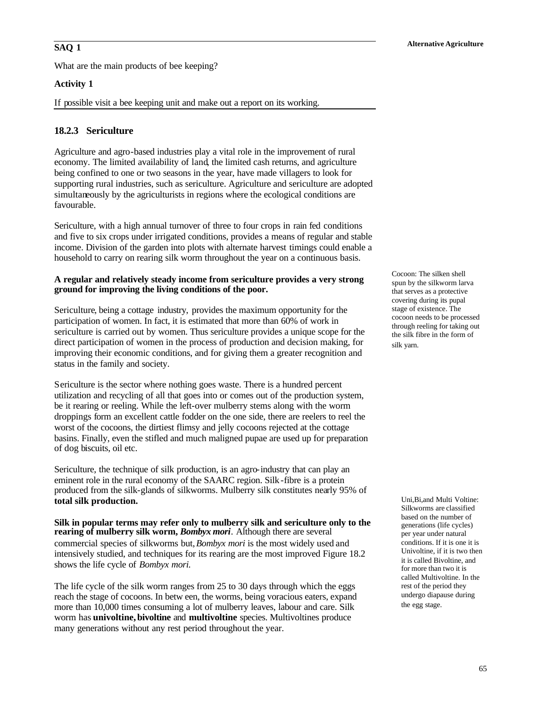What are the main products of bee keeping?

#### **Activity 1**

If possible visit a bee keeping unit and make out a report on its working.

#### **18.2.3 Sericulture**

Agriculture and agro-based industries play a vital role in the improvement of rural economy. The limited availability of land, the limited cash returns, and agriculture being confined to one or two seasons in the year, have made villagers to look for supporting rural industries, such as sericulture. Agriculture and sericulture are adopted simultaneously by the agriculturists in regions where the ecological conditions are favourable.

Sericulture, with a high annual turnover of three to four crops in rain fed conditions and five to six crops under irrigated conditions, provides a means of regular and stable income. Division of the garden into plots with alternate harvest timings could enable a household to carry on rearing silk worm throughout the year on a continuous basis.

#### **A regular and relatively steady income from sericulture provides a very strong ground for improving the living conditions of the poor.**

Sericulture, being a cottage industry, provides the maximum opportunity for the participation of women. In fact, it is estimated that more than 60% of work in sericulture is carried out by women. Thus sericulture provides a unique scope for the direct participation of women in the process of production and decision making, for improving their economic conditions, and for giving them a greater recognition and status in the family and society.

Sericulture is the sector where nothing goes waste. There is a hundred percent utilization and recycling of all that goes into or comes out of the production system, be it rearing or reeling. While the left-over mulberry stems along with the worm droppings form an excellent cattle fodder on the one side, there are reelers to reel the worst of the cocoons, the dirtiest flimsy and jelly cocoons rejected at the cottage basins. Finally, even the stifled and much maligned pupae are used up for preparation of dog biscuits, oil etc.

Sericulture, the technique of silk production, is an agro-industry that can play an eminent role in the rural economy of the SAARC region. Silk -fibre is a protein produced from the silk-glands of silkworms. Mulberry silk constitutes nearly 95% of **total silk production.**

**Silk in popular terms may refer only to mulberry silk and sericulture only to the rearing of mulberry silk worm,** *Bombyx mori.* Although there are several commercial species of silkworms but, *Bombyx mori* is the most widely used and intensively studied, and techniques for its rearing are the most improved Figure 18.2 shows the life cycle of *Bombyx mori.* 

The life cycle of the silk worm ranges from 25 to 30 days through which the eggs reach the stage of cocoons. In betw een, the worms, being voracious eaters, expand more than 10,000 times consuming a lot of mulberry leaves, labour and care. Silk worm has **univoltine, bivoltine** and **multivoltine** species. Multivoltines produce many generations without any rest period throughout the year.

Cocoon: The silken shell spun by the silkworm larva that serves as a protective covering during its pupal stage of existence. The cocoon needs to be processed through reeling for taking out the silk fibre in the form of silk yarn.

Uni,Bi,and Multi Voltine: Silkworms are classified based on the number of generations (life cycles) per year under natural conditions. If it is one it is Univoltine, if it is two then it is called Bivoltine, and for more than two it is called Multivoltine. In the rest of the period they undergo diapause during the egg stage.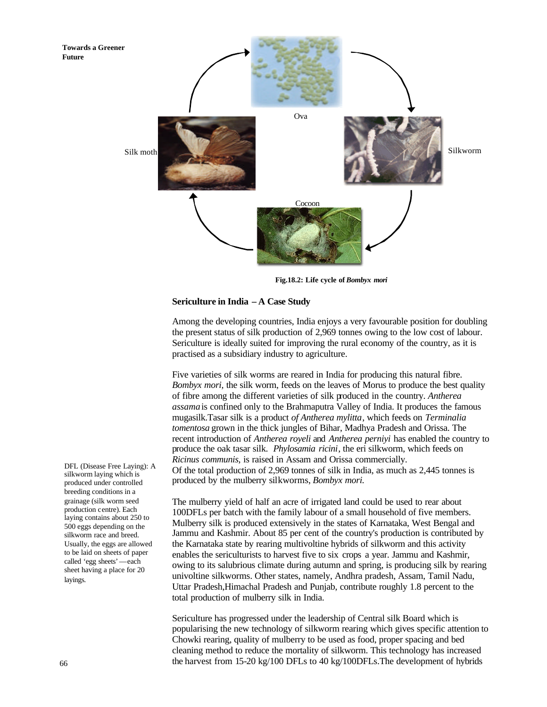

**Fig.18.2: Life cycle of** *Bombyx mori*

#### **Sericulture in India – A Case Study**

Among the developing countries, India enjoys a very favourable position for doubling the present status of silk production of 2,969 tonnes owing to the low cost of labour. Sericulture is ideally suited for improving the rural economy of the country, as it is practised as a subsidiary industry to agriculture.

Five varieties of silk worms are reared in India for producing this natural fibre. *Bombyx mori,* the silk worm, feeds on the leaves of Morus to produce the best quality of fibre among the different varieties of silk produced in the country. *Antherea assama* is confined only to the Brahmaputra Valley of India. It produces the famous mugasilk.Tasar silk is a product *of Antherea mylitta*, which feeds on *Terminalia tomentosa* grown in the thick jungles of Bihar, Madhya Pradesh and Orissa. The recent introduction of *Antherea royeli* and *Antherea perniyi* has enabled the country to produce the oak tasar silk. *Phylosamia ricini*, the eri silkworm, which feeds on *Ricinus communis*, is raised in Assam and Orissa commercially. Of the total production of 2,969 tonnes of silk in India, as much as 2,445 tonnes is produced by the mulberry silkworms, *Bombyx mori.*

The mulberry yield of half an acre of irrigated land could be used to rear about 100DFLs per batch with the family labour of a small household of five members. Mulberry silk is produced extensively in the states of Karnataka, West Bengal and Jammu and Kashmir. About 85 per cent of the country's production is contributed by the Karnataka state by rearing multivoltine hybrids of silkworm and this activity enables the sericulturists to harvest five to six crops a year. Jammu and Kashmir, owing to its salubrious climate during autumn and spring, is producing silk by rearing univoltine silkworms. Other states, namely, Andhra pradesh, Assam, Tamil Nadu, Uttar Pradesh,Himachal Pradesh and Punjab, contribute roughly 1.8 percent to the total production of mulberry silk in India.

Sericulture has progressed under the leadership of Central silk Board which is popularising the new technology of silkworm rearing which gives specific attention to Chowki rearing, quality of mulberry to be used as food, proper spacing and bed cleaning method to reduce the mortality of silkworm. This technology has increased the harvest from 15-20 kg/100 DFLs to 40 kg/100DFLs.The development of hybrids

DFL (Disease Free Laying): A silkworm laying which is produced under controlled breeding conditions in a grainage (silk worm seed production centre). Each laying contains about 250 to 500 eggs depending on the silkworm race and breed. Usually, the eggs are allowed to be laid on sheets of paper called 'egg sheets'—each sheet having a place for 20 layings.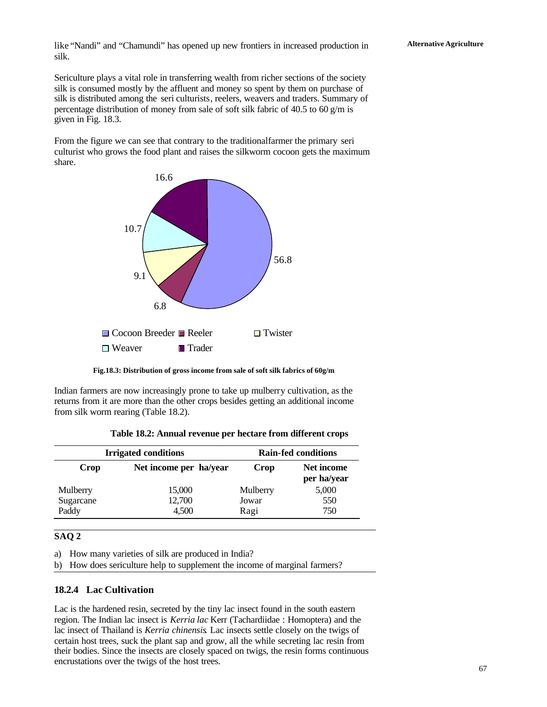like "Nandi" and "Chamundi" has opened up new frontiers in increased production in **Alternative Agriculture** silk.

Sericulture plays a vital role in transferring wealth from richer sections of the society silk is consumed mostly by the affluent and money so spent by them on purchase of silk is distributed among the seri culturists, reelers, weavers and traders. Summary of percentage distribution of money from sale of soft silk fabric of 40.5 to 60 g/m is given in Fig. 18.3.

From the figure we can see that contrary to the traditional farmer the primary seri culturist who grows the food plant and raises the silkworm cocoon gets the maximum share.



**Fig.18.3: Distribution of gross income from sale of soft silk fabrics of 60g/m**

Indian farmers are now increasingly prone to take up mulberry cultivation, as the returns from it are more than the other crops besides getting an additional income from silk worm rearing (Table 18.2).

|           | <b>Irrigated conditions</b> |          | <b>Rain-fed conditions</b> |
|-----------|-----------------------------|----------|----------------------------|
| Crop      | Net income per ha/year      | Crop     | Net income<br>per ha/year  |
| Mulberry  | 15,000                      | Mulberry | 5,000                      |
| Sugarcane | 12,700                      | Jowar    | 550                        |
| Paddy     | 4.500                       | Ragi     | 750                        |

| Table 18.2: Annual revenue per hectare from different crops |  |  |  |  |
|-------------------------------------------------------------|--|--|--|--|
|-------------------------------------------------------------|--|--|--|--|

### **SAQ 2**

a) How many varieties of silk are produced in India?

b) How does sericulture help to supplement the income of marginal farmers?

#### **18.2.4 Lac Cultivation**

Lac is the hardened resin, secreted by the tiny lac insect found in the south eastern region. The Indian lac insect is *Kerria lac* Kerr (Tachardiidae : Homoptera) and the lac insect of Thailand is *Kerria chinensis*. Lac insects settle closely on the twigs of certain host trees, suck the plant sap and grow, all the while secreting lac resin from their bodies. Since the insects are closely spaced on twigs, the resin forms continuous encrustations over the twigs of the host trees.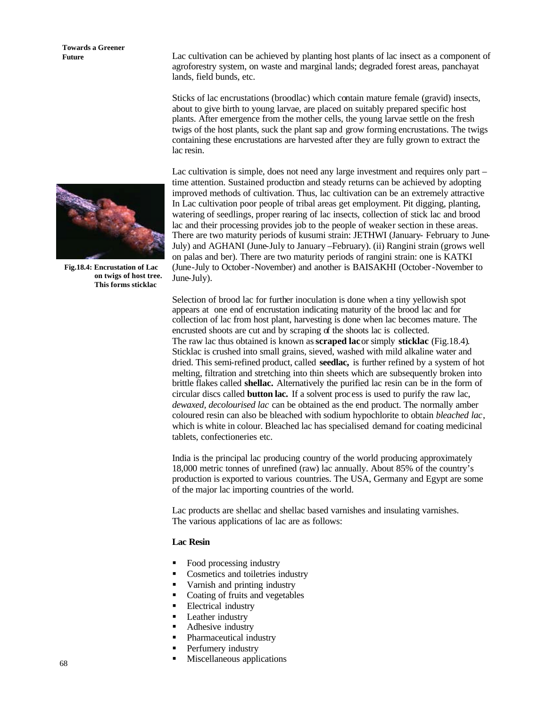# **Towards a Greener**



**Fig.18.4: Encrustation of Lac on twigs of host tree. This forms sticklac**

**Future** Lac cultivation can be achieved by planting host plants of lac insect as a component of agroforestry system, on waste and marginal lands; degraded forest areas, panchayat lands, field bunds, etc.

> Sticks of lac encrustations (broodlac) which contain mature female (gravid) insects, about to give birth to young larvae, are placed on suitably prepared specific host plants. After emergence from the mother cells, the young larvae settle on the fresh twigs of the host plants, suck the plant sap and grow forming encrustations. The twigs containing these encrustations are harvested after they are fully grown to extract the lac resin.

> Lac cultivation is simple, does not need any large investment and requires only part – time attention. Sustained production and steady returns can be achieved by adopting improved methods of cultivation. Thus, lac cultivation can be an extremely attractive In Lac cultivation poor people of tribal areas get employment. Pit digging, planting, watering of seedlings, proper rearing of lac insects, collection of stick lac and brood lac and their processing provides job to the people of weaker section in these areas. There are two maturity periods of kusumi strain: JETHWI (January- February to June-July) and AGHANI (June-July to January –February). (ii) Rangini strain (grows well on palas and ber). There are two maturity periods of rangini strain: one is KATKI (June-July to October-November) and another is BAISAKHI (October-November to June-July).

Selection of brood lac for further inoculation is done when a tiny yellowish spot appears at one end of encrustation indicating maturity of the brood lac and for collection of lac from host plant, harvesting is done when lac becomes mature. The encrusted shoots are cut and by scraping of the shoots lac is collected. The raw lac thus obtained is known as **scraped lac** or simply **sticklac** (Fig.18.4). Sticklac is crushed into small grains, sieved, washed with mild alkaline water and dried. This semi-refined product, called **seedlac,** is further refined by a system of hot melting, filtration and stretching into thin sheets which are subsequently broken into brittle flakes called **shellac.** Alternatively the purified lac resin can be in the form of circular discs called **button lac.** If a solvent proc ess is used to purify the raw lac, *dewaxed, decolourised lac* can be obtained as the end product. The normally amber coloured resin can also be bleached with sodium hypochlorite to obtain *bleached lac*, which is white in colour. Bleached lac has specialised demand for coating medicinal tablets, confectioneries etc.

India is the principal lac producing country of the world producing approximately 18,000 metric tonnes of unrefined (raw) lac annually. About 85% of the country's production is exported to various countries. The USA, Germany and Egypt are some of the major lac importing countries of the world.

Lac products are shellac and shellac based varnishes and insulating varnishes. The various applications of lac are as follows:

#### **Lac Resin**

- Food processing industry
- ß Cosmetics and toiletries industry
- ß Varnish and printing industry
- Coating of fruits and vegetables
- ß Electrical industry
- Leather industry
- Adhesive industry
- Pharmaceutical industry
- Perfumery industry
- ß Miscellaneous applications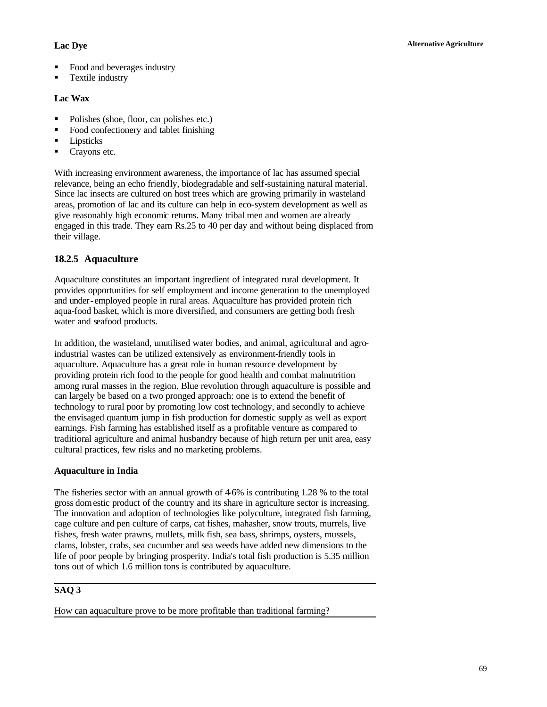- Food and beverages industry
- **Textile industry**

#### **Lac Wax**

- Polishes (shoe, floor, car polishes etc.)
- Food confectionery and tablet finishing
- **Lipsticks**
- **Crayons etc.**

With increasing environment awareness, the importance of lac has assumed special relevance, being an echo friendly, biodegradable and self-sustaining natural material. Since lac insects are cultured on host trees which are growing primarily in wasteland areas, promotion of lac and its culture can help in eco-system development as well as give reasonably high economic returns. Many tribal men and women are already engaged in this trade. They earn Rs.25 to 40 per day and without being displaced from their village.

#### **18.2.5 Aquaculture**

Aquaculture constitutes an important ingredient of integrated rural development. It provides opportunities for self employment and income generation to the unemployed and under-employed people in rural areas. Aquaculture has provided protein rich aqua-food basket, which is more diversified, and consumers are getting both fresh water and seafood products.

In addition, the wasteland, unutilised water bodies, and animal, agricultural and agroindustrial wastes can be utilized extensively as environment-friendly tools in aquaculture. Aquaculture has a great role in human resource development by providing protein rich food to the people for good health and combat malnutrition among rural masses in the region. Blue revolution through aquaculture is possible and can largely be based on a two pronged approach: one is to extend the benefit of technology to rural poor by promoting low cost technology, and secondly to achieve the envisaged quantum jump in fish production for domestic supply as well as export earnings. Fish farming has established itself as a profitable venture as compared to traditional agriculture and animal husbandry because of high return per unit area, easy cultural practices, few risks and no marketing problems.

#### **Aquaculture in India**

The fisheries sector with an annual growth of  $4-6\%$  is contributing 1.28 % to the total gross domestic product of the country and its share in agriculture sector is increasing. The innovation and adoption of technologies like polyculture, integrated fish farming, cage culture and pen culture of carps, cat fishes, mahasher, snow trouts, murrels, live fishes, fresh water prawns, mullets, milk fish, sea bass, shrimps, oysters, mussels, clams, lobster, crabs, sea cucumber and sea weeds have added new dimensions to the life of poor people by bringing prosperity. India's total fish production is 5.35 million tons out of which 1.6 million tons is contributed by aquaculture.

#### **SAQ 3**

How can aquaculture prove to be more profitable than traditional farming?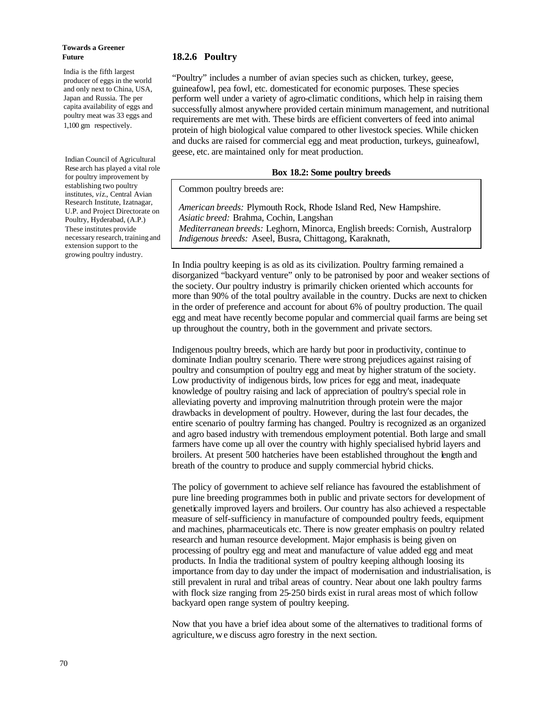#### **Towards a Greener Future**

India is the fifth largest producer of eggs in the world and only next to China, USA, Japan and Russia. The per capita availability of eggs and poultry meat was 33 eggs and 1,100 gm respectively.

Indian Council of Agricultural Rese arch has played a vital role for poultry improvement by establishing two poultry institutes, *viz*., Central Avian Research Institute, Izatnagar, U.P. and Project Directorate on Poultry, Hyderabad, (A.P.) These institutes provide necessary research, training and extension support to the growing poultry industry.

#### **18.2.6 Poultry**

"Poultry" includes a number of avian species such as chicken, turkey, geese, guineafowl, pea fowl, etc. domesticated for economic purposes. These species perform well under a variety of agro-climatic conditions, which help in raising them successfully almost anywhere provided certain minimum management, and nutritional requirements are met with. These birds are efficient converters of feed into animal protein of high biological value compared to other livestock species. While chicken and ducks are raised for commercial egg and meat production, turkeys, guineafowl, geese, etc. are maintained only for meat production.

#### **Box 18.2: Some poultry breeds**

Common poultry breeds are:

*American breeds:* Plymouth Rock, Rhode Island Red, New Hampshire. *Asiatic breed:* Brahma, Cochin, Langshan *Mediterranean breeds:* Leghorn, Minorca, English breeds: Cornish, Australorp *Indigenous breeds:* Aseel, Busra, Chittagong, Karaknath,

In India poultry keeping is as old as its civilization. Poultry farming remained a disorganized "backyard venture" only to be patronised by poor and weaker sections of the society. Our poultry industry is primarily chicken oriented which accounts for more than 90% of the total poultry available in the country. Ducks are next to chicken in the order of preference and account for about 6% of poultry production. The quail egg and meat have recently become popular and commercial quail farms are being set up throughout the country, both in the government and private sectors.

Indigenous poultry breeds, which are hardy but poor in productivity, continue to dominate Indian poultry scenario. There were strong prejudices against raising of poultry and consumption of poultry egg and meat by higher stratum of the society. Low productivity of indigenous birds, low prices for egg and meat, inadequate knowledge of poultry raising and lack of appreciation of poultry's special role in alleviating poverty and improving malnutrition through protein were the major drawbacks in development of poultry. However, during the last four decades, the entire scenario of poultry farming has changed. Poultry is recognized as an organized and agro based industry with tremendous employment potential. Both large and small farmers have come up all over the country with highly specialised hybrid layers and broilers. At present 500 hatcheries have been established throughout the length and breath of the country to produce and supply commercial hybrid chicks.

The policy of government to achieve self reliance has favoured the establishment of pure line breeding programmes both in public and private sectors for development of genetically improved layers and broilers. Our country has also achieved a respectable measure of self-sufficiency in manufacture of compounded poultry feeds, equipment and machines, pharmaceuticals etc. There is now greater emphasis on poultry related research and human resource development. Major emphasis is being given on processing of poultry egg and meat and manufacture of value added egg and meat products. In India the traditional system of poultry keeping although loosing its importance from day to day under the impact of modernisation and industrialisation, is still prevalent in rural and tribal areas of country. Near about one lakh poultry farms with flock size ranging from 25-250 birds exist in rural areas most of which follow backyard open range system of poultry keeping.

Now that you have a brief idea about some of the alternatives to traditional forms of agriculture, w e discuss agro forestry in the next section.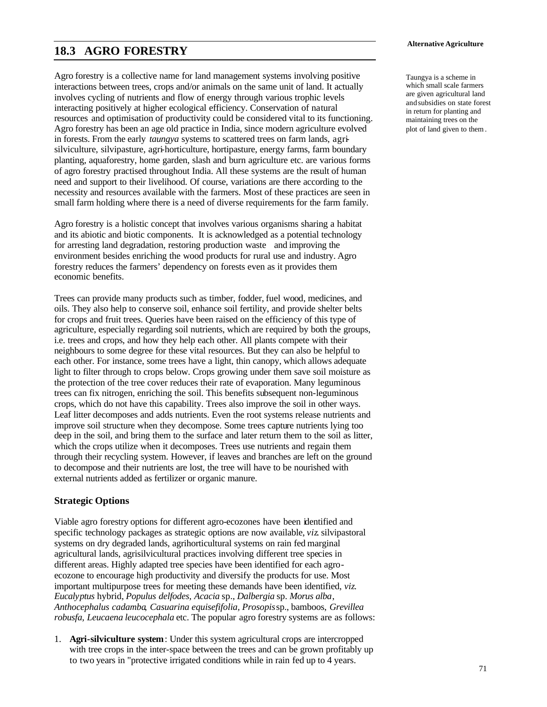# **18.3 AGRO FORESTRY**

Agro forestry is a collective name for land management systems involving positive interactions between trees, crops and/or animals on the same unit of land. It actually involves cycling of nutrients and flow of energy through various trophic levels interacting positively at higher ecological efficiency. Conservation of natural resources and optimisation of productivity could be considered vital to its functioning. Agro forestry has been an age old practice in India, since modern agriculture evolved in forests. From the early *taungya* systems to scattered trees on farm lands, agrisilviculture, silvipasture, agri-horticulture, hortipasture, energy farms, farm boundary planting, aquaforestry, home garden, slash and burn agriculture etc. are various forms of agro forestry practised throughout India. All these systems are the result of human need and support to their livelihood. Of course, variations are there according to the necessity and resources available with the farmers. Most of these practices are seen in small farm holding where there is a need of diverse requirements for the farm family.

Agro forestry is a holistic concept that involves various organisms sharing a habitat and its abiotic and biotic components. It is acknowledged as a potential technology for arresting land degradation, restoring production waste and improving the environment besides enriching the wood products for rural use and industry. Agro forestry reduces the farmers' dependency on forests even as it provides them economic benefits.

Trees can provide many products such as timber, fodder, fuel wood, medicines, and oils. They also help to conserve soil, enhance soil fertility, and provide shelter belts for crops and fruit trees. Queries have been raised on the efficiency of this type of agriculture, especially regarding soil nutrients, which are required by both the groups, i.e. trees and crops, and how they help each other. All plants compete with their neighbours to some degree for these vital resources. But they can also be helpful to each other. For instance, some trees have a light, thin canopy, which allows adequate light to filter through to crops below. Crops growing under them save soil moisture as the protection of the tree cover reduces their rate of evaporation. Many leguminous trees can fix nitrogen, enriching the soil. This benefits subsequent non-leguminous crops, which do not have this capability. Trees also improve the soil in other ways. Leaf litter decomposes and adds nutrients. Even the root systems release nutrients and improve soil structure when they decompose. Some trees capture nutrients lying too deep in the soil, and bring them to the surface and later return them to the soil as litter, which the crops utilize when it decomposes. Trees use nutrients and regain them through their recycling system. However, if leaves and branches are left on the ground to decompose and their nutrients are lost, the tree will have to be nourished with external nutrients added as fertilizer or organic manure.

#### **Strategic Options**

Viable agro forestry options for different agro-ecozones have been identified and specific technology packages as strategic options are now available, *viz*. silvipastoral systems on dry degraded lands, agrihorticultural systems on rain fed marginal agricultural lands, agrisilvicultural practices involving different tree species in different areas. Highly adapted tree species have been identified for each agroecozone to encourage high productivity and diversify the products for use. Most important multipurpose trees for meeting these demands have been identified, *viz*. *Eucalyptus* hybrid, *Populus delfodes, Acacia* sp., *Dalbergia* sp. *Morus alba*, *Anthocephalus cadamba*, *Casuarina equisefifolia, Prosopis* sp., bamboos, *Grevillea robusfa, Leucaena leucocephala* etc. The popular agro forestry systems are as follows:

1. **Agri-silviculture system**: Under this system agricultural crops are intercropped with tree crops in the inter-space between the trees and can be grown profitably up to two years in "protective irrigated conditions while in rain fed up to 4 years.

Taungya is a scheme in which small scale farmers are given agricultural land and subsidies on state forest in return for planting and maintaining trees on the plot of land given to them .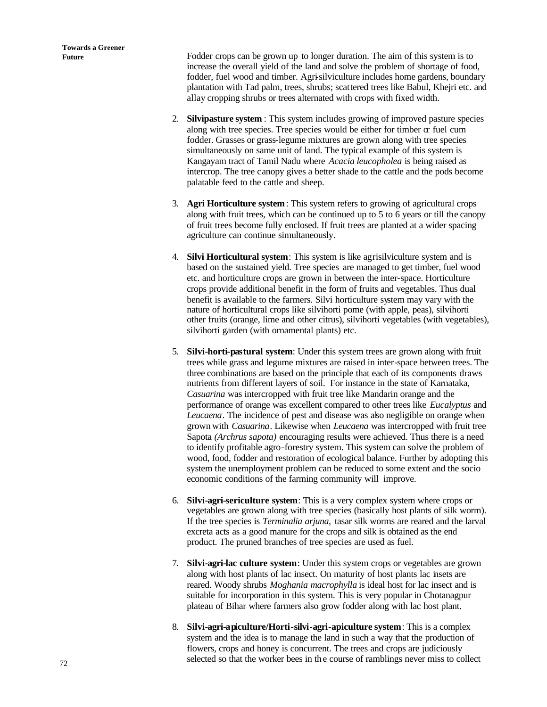**Future** Fodder crops can be grown up to longer duration. The aim of this system is to increase the overall yield of the land and solve the problem of shortage of food, fodder, fuel wood and timber. Agri-silviculture includes home gardens, boundary plantation with Tad palm, trees, shrubs; scattered trees like Babul, Khejri etc. and allay cropping shrubs or trees alternated with crops with fixed width.

- 2. **Silvipasture system** : This system includes growing of improved pasture species along with tree species. Tree species would be either for timber  $\alpha$  fuel cum fodder. Grasses or grass-legume mixtures are grown along with tree species simultaneously on same unit of land. The typical example of this system is Kangayam tract of Tamil Nadu where *Acacia leucopholea* is being raised as intercrop. The tree canopy gives a better shade to the cattle and the pods become palatable feed to the cattle and sheep.
- 3. **Agri Horticulture system**: This system refers to growing of agricultural crops along with fruit trees, which can be continued up to 5 to 6 years or till the canopy of fruit trees become fully enclosed. If fruit trees are planted at a wider spacing agriculture can continue simultaneously.
- 4. **Silvi Horticultural system**: This system is like agrisilviculture system and is based on the sustained yield. Tree species are managed to get timber, fuel wood etc. and horticulture crops are grown in between the inter-space. Horticulture crops provide additional benefit in the form of fruits and vegetables. Thus dual benefit is available to the farmers. Silvi horticulture system may vary with the nature of horticultural crops like silvihorti pome (with apple, peas), silvihorti other fruits (orange, lime and other citrus), silvihorti vegetables (with vegetables), silvihorti garden (with ornamental plants) etc.
- 5. **Silvi-horti-pastural system**: Under this system trees are grown along with fruit trees while grass and legume mixtures are raised in inter-space between trees. The three combinations are based on the principle that each of its components draws nutrients from different layers of soil. For instance in the state of Karnataka, *Casuarina* was intercropped with fruit tree like Mandarin orange and the performance of orange was excellent compared to other trees like *Eucalyptus* and *Leucaena*. The incidence of pest and disease was also negligible on orange when grown with *Casuarina*. Likewise when *Leucaena* was intercropped with fruit tree Sapota *(Archrus sapota)* encouraging results were achieved. Thus there is a need to identify profitable agro-forestry system. This system can solve the problem of wood, food, fodder and restoration of ecological balance. Further by adopting this system the unemployment problem can be reduced to some extent and the socio economic conditions of the farming community will improve.
- 6. **Silvi-agri-sericulture system**: This is a very complex system where crops or vegetables are grown along with tree species (basically host plants of silk worm). If the tree species is *Terminalia arjuna,* tasar silk worms are reared and the larval excreta acts as a good manure for the crops and silk is obtained as the end product. The pruned branches of tree species are used as fuel.
- 7. **Silvi-agri-lac culture system**: Under this system crops or vegetables are grown along with host plants of lac insect. On maturity of host plants lac insets are reared. Woody shrubs *Moghania macrophylla* is ideal host for lac insect and is suitable for incorporation in this system. This is very popular in Chotanagpur plateau of Bihar where farmers also grow fodder along with lac host plant.
- 8. **Silvi-agri-apiculture/Horti-silvi-agri-apiculture system**: This is a complex system and the idea is to manage the land in such a way that the production of flowers, crops and honey is concurrent. The trees and crops are judiciously selected so that the worker bees in the course of ramblings never miss to collect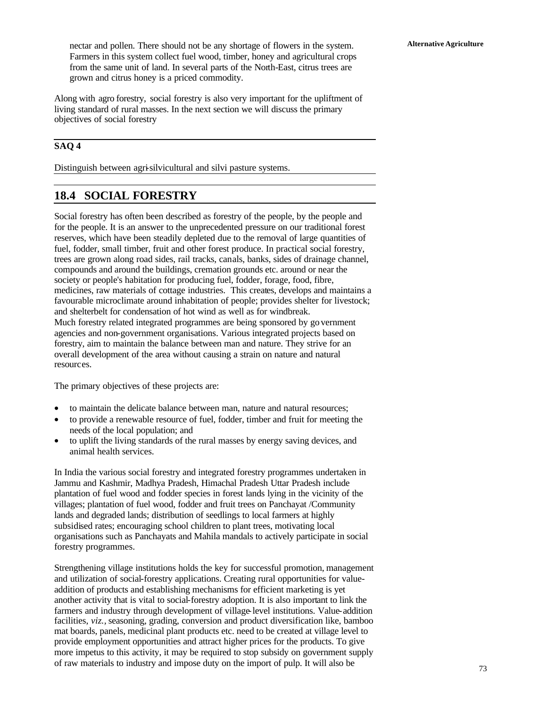**Alternative Agriculture** nectar and pollen. There should not be any shortage of flowers in the system. Farmers in this system collect fuel wood, timber, honey and agricultural crops from the same unit of land. In several parts of the North-East, citrus trees are grown and citrus honey is a priced commodity.

Along with agro forestry, social forestry is also very important for the upliftment of living standard of rural masses. In the next section we will discuss the primary objectives of social forestry

#### **SAQ 4**

Distinguish between agri-silvicultural and silvi pasture systems.

# **18.4 SOCIAL FORESTRY**

Social forestry has often been described as forestry of the people, by the people and for the people. It is an answer to the unprecedented pressure on our traditional forest reserves, which have been steadily depleted due to the removal of large quantities of fuel, fodder, small timber, fruit and other forest produce. In practical social forestry, trees are grown along road sides, rail tracks, canals, banks, sides of drainage channel, compounds and around the buildings, cremation grounds etc. around or near the society or people's habitation for producing fuel, fodder, forage, food, fibre, medicines, raw materials of cottage industries. This creates, develops and maintains a favourable microclimate around inhabitation of people; provides shelter for livestock; and shelterbelt for condensation of hot wind as well as for windbreak. Much forestry related integrated programmes are being sponsored by go vernment agencies and non-government organisations. Various integrated projects based on forestry, aim to maintain the balance between man and nature. They strive for an overall development of the area without causing a strain on nature and natural resources.

The primary objectives of these projects are:

- to maintain the delicate balance between man, nature and natural resources;
- to provide a renewable resource of fuel, fodder, timber and fruit for meeting the needs of the local population; and
- to uplift the living standards of the rural masses by energy saving devices, and animal health services.

In India the various social forestry and integrated forestry programmes undertaken in Jammu and Kashmir, Madhya Pradesh, Himachal Pradesh Uttar Pradesh include plantation of fuel wood and fodder species in forest lands lying in the vicinity of the villages; plantation of fuel wood, fodder and fruit trees on Panchayat /Community lands and degraded lands; distribution of seedlings to local farmers at highly subsidised rates; encouraging school children to plant trees, motivating local organisations such as Panchayats and Mahila mandals to actively participate in social forestry programmes.

Strengthening village institutions holds the key for successful promotion, management and utilization of social-forestry applications. Creating rural opportunities for valueaddition of products and establishing mechanisms for efficient marketing is yet another activity that is vital to social-forestry adoption. It is also important to link the farmers and industry through development of village-level institutions. Value-addition facilities, *viz.,* seasoning, grading, conversion and product diversification like, bamboo mat boards, panels, medicinal plant products etc. need to be created at village level to provide employment opportunities and attract higher prices for the products. To give more impetus to this activity, it may be required to stop subsidy on government supply of raw materials to industry and impose duty on the import of pulp. It will also be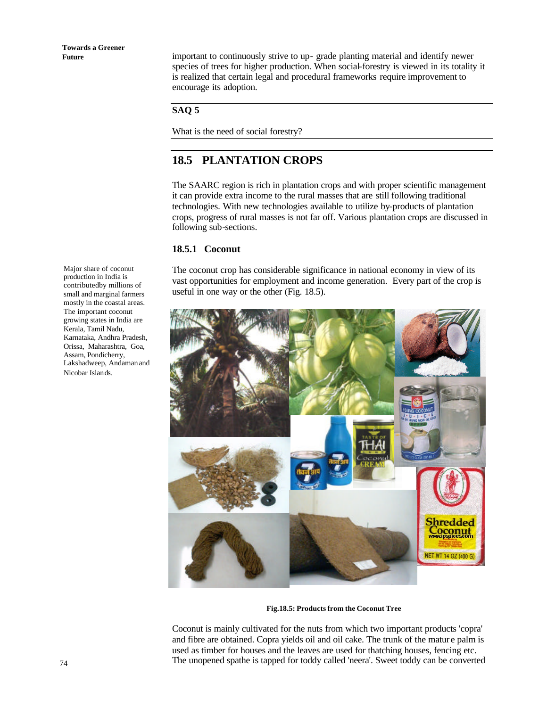**Future** important to continuously strive to up- grade planting material and identify newer species of trees for higher production. When social-forestry is viewed in its totality it is realized that certain legal and procedural frameworks require improvement to encourage its adoption.

#### **SAQ 5**

What is the need of social forestry?

# **18.5 PLANTATION CROPS**

The SAARC region is rich in plantation crops and with proper scientific management it can provide extra income to the rural masses that are still following traditional technologies. With new technologies available to utilize by-products of plantation crops, progress of rural masses is not far off. Various plantation crops are discussed in following sub-sections.

#### **18.5.1 Coconut**

The coconut crop has considerable significance in national economy in view of its vast opportunities for employment and income generation. Every part of the crop is useful in one way or the other (Fig. 18.5).



 **Fig.18.5: Products from the Coconut Tree**

Coconut is mainly cultivated for the nuts from which two important products 'copra' and fibre are obtained. Copra yields oil and oil cake. The trunk of the matur e palm is used as timber for houses and the leaves are used for thatching houses, fencing etc. The unopened spathe is tapped for toddy called 'neera'. Sweet toddy can be converted

Major share of coconut production in India is contributed by millions of small and marginal farmers mostly in the coastal areas. The important coconut growing states in India are Kerala, Tamil Nadu, Karnataka, Andhra Pradesh, Orissa, Maharashtra, Goa, Assam, Pondicherry, Lakshadweep, Andaman and Nicobar Islands.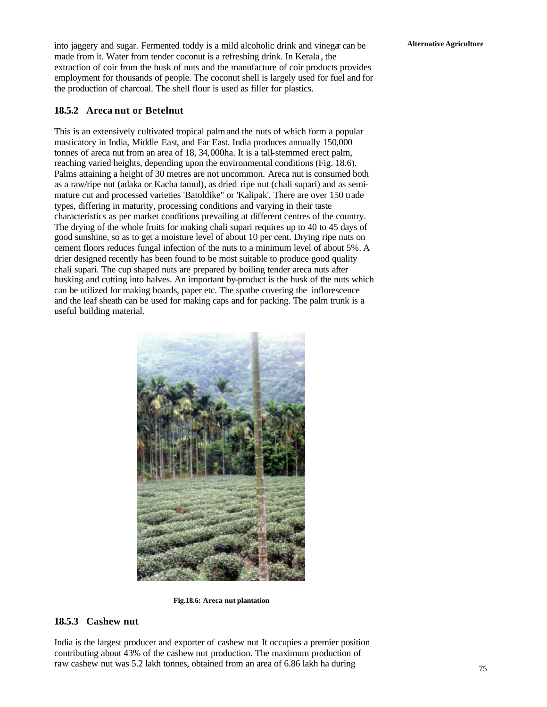**Alternative Agriculture** into jaggery and sugar. Fermented toddy is a mild alcoholic drink and vinegar can be made from it. Water from tender coconut is a refreshing drink. In Kerala , the extraction of coir from the husk of nuts and the manufacture of coir products provides employment for thousands of people. The coconut shell is largely used for fuel and for the production of charcoal. The shell flour is used as filler for plastics.

#### **18.5.2 Areca nut or Betelnut**

This is an extensively cultivated tropical palm and the nuts of which form a popular masticatory in India, Middle East, and Far East. India produces annually 150,000 tonnes of areca nut from an area of 18, 34,000ha. It is a tall-stemmed erect palm, reaching varied heights, depending upon the environmental conditions (Fig. 18.6). Palms attaining a height of 30 metres are not uncommon. Areca nut is consumed both as a raw/ripe nut (adaka or Kacha tamul), as dried ripe nut (chali supari) and as semimature cut and processed varieties 'Batoldike" or 'Kalipak'. There are over 150 trade types, differing in maturity, processing conditions and varying in their taste characteristics as per market conditions prevailing at different centres of the country. The drying of the whole fruits for making chali supari requires up to 40 to 45 days of good sunshine, so as to get a moisture level of about 10 per cent. Drying ripe nuts on cement floors reduces fungal infection of the nuts to a minimum level of about 5%. A drier designed recently has been found to be most suitable to produce good quality chali supari. The cup shaped nuts are prepared by boiling tender areca nuts after husking and cutting into halves. An important by-product is the husk of the nuts which can be utilized for making boards, paper etc. The spathe covering the inflorescence and the leaf sheath can be used for making caps and for packing. The palm trunk is a useful building material.



**Fig.18.6: Areca nut plantation**

#### **18.5.3 Cashew nut**

India is the largest producer and exporter of cashew nut It occupies a premier position contributing about 43% of the cashew nut production. The maximum production of raw cashew nut was 5.2 lakh tonnes, obtained from an area of 6.86 lakh ha during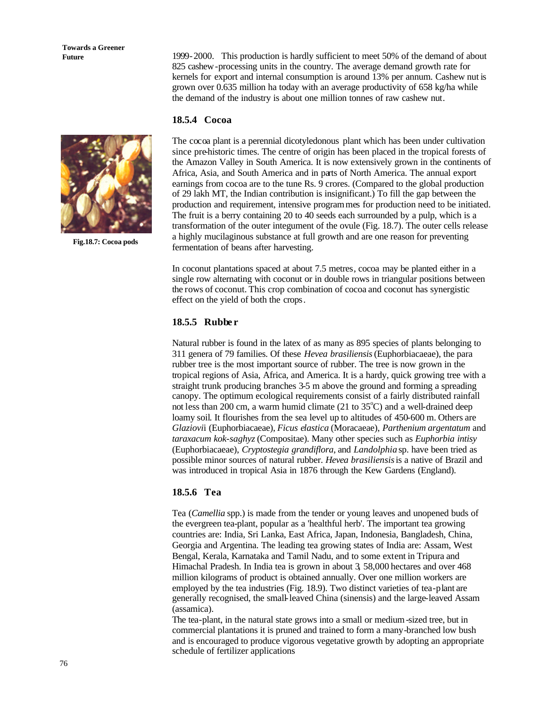**Towards a Greener** 



**Fig.18.7: Cocoa pods**

**Future** 1999-2000. This production is hardly sufficient to meet 50% of the demand of about 825 cashew-processing units in the country. The average demand growth rate for kernels for export and internal consumption is around 13% per annum. Cashew nut is grown over 0.635 million ha today with an average productivity of 658 kg/ha while the demand of the industry is about one million tonnes of raw cashew nut.

#### **18.5.4 Cocoa**

The cocoa plant is a perennial dicotyledonous plant which has been under cultivation since pre-historic times. The centre of origin has been placed in the tropical forests of the Amazon Valley in South America. It is now extensively grown in the continents of Africa, Asia, and South America and in parts of North America. The annual export earnings from cocoa are to the tune Rs. 9 crores. (Compared to the global production of 29 lakh MT, the Indian contribution is insignificant.) To fill the gap between the production and requirement, intensive programmes for production need to be initiated. The fruit is a berry containing 20 to 40 seeds each surrounded by a pulp, which is a transformation of the outer integument of the ovule (Fig. 18.7). The outer cells release a highly mucilaginous substance at full growth and are one reason for preventing fermentation of beans after harvesting.

In coconut plantations spaced at about 7.5 metres, cocoa may be planted either in a single row alternating with coconut or in double rows in triangular positions between the rows of coconut. This crop combination of cocoa and coconut has synergistic effect on the yield of both the crops.

#### **18.5.5 Rubbe r**

Natural rubber is found in the latex of as many as 895 species of plants belonging to 311 genera of 79 families. Of these *Hevea brasiliensis* (Euphorbiacaeae), the para rubber tree is the most important source of rubber. The tree is now grown in the tropical regions of Asia, Africa, and America. It is a hardy, quick growing tree with a straight trunk producing branches 3-5 m above the ground and forming a spreading canopy. The optimum ecological requirements consist of a fairly distributed rainfall not less than 200 cm, a warm humid climate (21 to  $35^{\circ}$ C) and a well-drained deep loamy soil. It flourishes from the sea level up to altitudes of 450-600 m. Others are *Glaziovi*i (Euphorbiacaeae), *Ficus elastica* (Moracaeae), *Parthenium argentatum* and *taraxacum kok-saghyz* (Compositae). Many other species such as *Euphorbia intisy* (Euphorbiacaeae), *Cryptostegia grandiflora*, and *Landolphia* sp. have been tried as possible minor sources of natural rubber. *Hevea brasiliensis* is a native of Brazil and was introduced in tropical Asia in 1876 through the Kew Gardens (England).

#### **18.5.6 Tea**

Tea (*Camellia* spp.) is made from the tender or young leaves and unopened buds of the evergreen tea-plant, popular as a 'healthful herb'. The important tea growing countries are: India, Sri Lanka, East Africa, Japan, Indonesia, Bangladesh, China, Georgia and Argentina. The leading tea growing states of India are: Assam, West Bengal, Kerala, Karnataka and Tamil Nadu, and to some extent in Tripura and Himachal Pradesh. In India tea is grown in about 3, 58,000 hectares and over 468 million kilograms of product is obtained annually. Over one million workers are employed by the tea industries (Fig. 18.9). Two distinct varieties of tea-plant are generally recognised, the small-leaved China (sinensis) and the large-leaved Assam (assamica).

The tea-plant, in the natural state grows into a small or medium-sized tree, but in commercial plantations it is pruned and trained to form a many-branched low bush and is encouraged to produce vigorous vegetative growth by adopting an appropriate schedule of fertilizer applications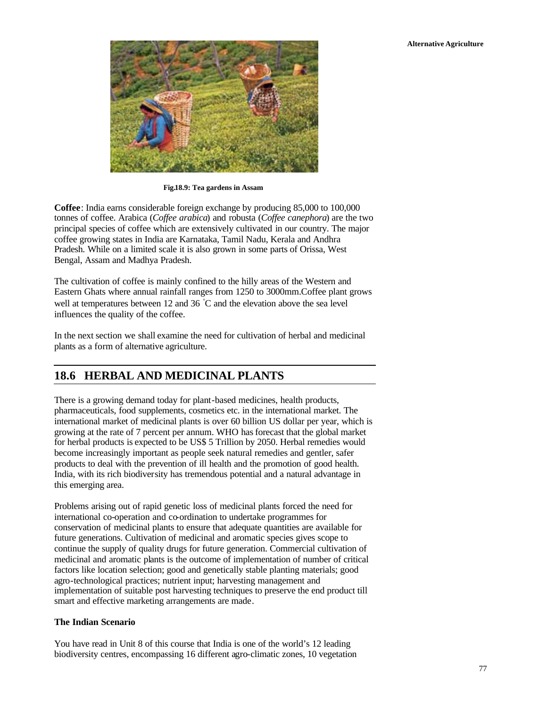

**Fig.18.9: Tea gardens in Assam**

**Coffee**: India earns considerable foreign exchange by producing 85,000 to 100,000 tonnes of coffee. Arabica (*Coffee arabica*) and robusta (*Coffee canephora*) are the two principal species of coffee which are extensively cultivated in our country. The major coffee growing states in India are Karnataka, Tamil Nadu, Kerala and Andhra Pradesh. While on a limited scale it is also grown in some parts of Orissa, West Bengal, Assam and Madhya Pradesh.

The cultivation of coffee is mainly confined to the hilly areas of the Western and Eastern Ghats where annual rainfall ranges from 1250 to 3000mm.Coffee plant grows well at temperatures between 12 and 36 °C and the elevation above the sea level influences the quality of the coffee.

In the next section we shall examine the need for cultivation of herbal and medicinal plants as a form of alternative agriculture.

# **18.6 HERBAL AND MEDICINAL PLANTS**

There is a growing demand today for plant-based medicines, health products, pharmaceuticals, food supplements, cosmetics etc. in the international market. The international market of medicinal plants is over 60 billion US dollar per year, which is growing at the rate of 7 percent per annum. WHO has forecast that the global market for herbal products is expected to be US\$ 5 Trillion by 2050. Herbal remedies would become increasingly important as people seek natural remedies and gentler, safer products to deal with the prevention of ill health and the promotion of good health. India, with its rich biodiversity has tremendous potential and a natural advantage in this emerging area.

Problems arising out of rapid genetic loss of medicinal plants forced the need for international co-operation and co-ordination to undertake programmes for conservation of medicinal plants to ensure that adequate quantities are available for future generations. Cultivation of medicinal and aromatic species gives scope to continue the supply of quality drugs for future generation. Commercial cultivation of medicinal and aromatic plants is the outcome of implementation of number of critical factors like location selection; good and genetically stable planting materials; good agro-technological practices; nutrient input; harvesting management and implementation of suitable post harvesting techniques to preserve the end product till smart and effective marketing arrangements are made.

#### **The Indian Scenario**

You have read in Unit 8 of this course that India is one of the world's 12 leading biodiversity centres, encompassing 16 different agro-climatic zones, 10 vegetation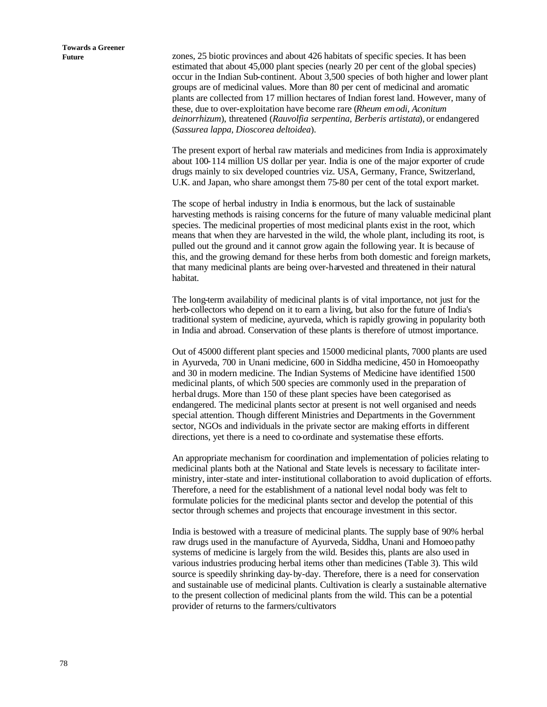Future **zones**, 25 biotic provinces and about 426 habitats of specific species. It has been estimated that about 45,000 plant species (nearly 20 per cent of the global species) occur in the Indian Sub-continent. About 3,500 species of both higher and lower plant groups are of medicinal values. More than 80 per cent of medicinal and aromatic plants are collected from 17 million hectares of Indian forest land. However, many of these, due to over-exploitation have become rare (*Rheum emodi, Aconitum deinorrhizum*), threatened (*Rauvolfia serpentina, Berberis artistata*), or endangered (*Sassurea lappa, Dioscorea deltoidea*).

> The present export of herbal raw materials and medicines from India is approximately about 100-114 million US dollar per year. India is one of the major exporter of crude drugs mainly to six developed countries viz. USA, Germany, France, Switzerland, U.K. and Japan, who share amongst them 75-80 per cent of the total export market.

The scope of herbal industry in India is enormous, but the lack of sustainable harvesting methods is raising concerns for the future of many valuable medicinal plant species. The medicinal properties of most medicinal plants exist in the root, which means that when they are harvested in the wild, the whole plant, including its root, is pulled out the ground and it cannot grow again the following year. It is because of this, and the growing demand for these herbs from both domestic and foreign markets, that many medicinal plants are being over-harvested and threatened in their natural habitat.

The long-term availability of medicinal plants is of vital importance, not just for the herb-collectors who depend on it to earn a living, but also for the future of India's traditional system of medicine, ayurveda, which is rapidly growing in popularity both in India and abroad. Conservation of these plants is therefore of utmost importance.

Out of 45000 different plant species and 15000 medicinal plants, 7000 plants are used in Ayurveda, 700 in Unani medicine, 600 in Siddha medicine, 450 in Homoeopathy and 30 in modern medicine. The Indian Systems of Medicine have identified 1500 medicinal plants, of which 500 species are commonly used in the preparation of herbal drugs. More than 150 of these plant species have been categorised as endangered. The medicinal plants sector at present is not well organised and needs special attention. Though different Ministries and Departments in the Government sector, NGOs and individuals in the private sector are making efforts in different directions, yet there is a need to co-ordinate and systematise these efforts.

An appropriate mechanism for coordination and implementation of policies relating to medicinal plants both at the National and State levels is necessary to facilitate interministry, inter-state and inter-institutional collaboration to avoid duplication of efforts. Therefore, a need for the establishment of a national level nodal body was felt to formulate policies for the medicinal plants sector and develop the potential of this sector through schemes and projects that encourage investment in this sector.

India is bestowed with a treasure of medicinal plants. The supply base of 90% herbal raw drugs used in the manufacture of Ayurveda, Siddha, Unani and Homoeopathy systems of medicine is largely from the wild. Besides this, plants are also used in various industries producing herbal items other than medicines (Table 3). This wild source is speedily shrinking day-by-day. Therefore, there is a need for conservation and sustainable use of medicinal plants. Cultivation is clearly a sustainable alternative to the present collection of medicinal plants from the wild. This can be a potential provider of returns to the farmers/cultivators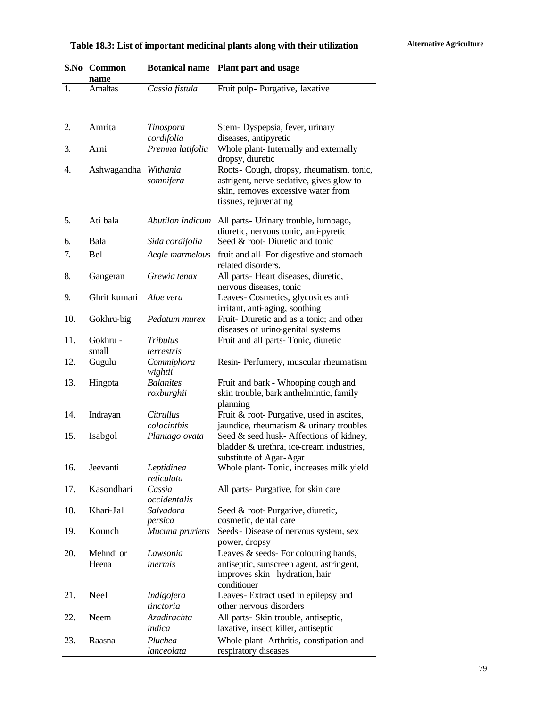# Table 18.3: List of important medicinal plants along with their utilization *Alternative Agriculture*

| S.No | Common<br>name     | <b>Botanical name</b>           | Plant part and usage                                                                                                                                |
|------|--------------------|---------------------------------|-----------------------------------------------------------------------------------------------------------------------------------------------------|
| 1.   | Amaltas            | Cassia fistula                  | Fruit pulp- Purgative, laxative                                                                                                                     |
|      |                    |                                 |                                                                                                                                                     |
| 2.   | Amrita             | Tinospora                       | Stem-Dyspepsia, fever, urinary                                                                                                                      |
|      |                    | cordifolia                      | diseases, antipyretic                                                                                                                               |
| 3.   | Arni               | Premna latifolia                | Whole plant-Internally and externally<br>dropsy, diuretic                                                                                           |
| 4.   | Ashwagandha        | Withania<br>somnifera           | Roots- Cough, dropsy, rheumatism, tonic,<br>astrigent, nerve sedative, gives glow to<br>skin, removes excessive water from<br>tissues, rejuvenating |
| 5.   | Ati bala           | Abutilon indicum                | All parts- Urinary trouble, lumbago,<br>diuretic, nervous tonic, anti-pyretic                                                                       |
| 6.   | Bala               | Sida cordifolia                 | Seed & root-Diuretic and tonic                                                                                                                      |
| 7.   | <b>Bel</b>         | Aegle marmelous                 | fruit and all- For digestive and stomach<br>related disorders.                                                                                      |
| 8.   | Gangeran           | Grewia tenax                    | All parts- Heart diseases, diuretic,<br>nervous diseases, tonic                                                                                     |
| 9.   | Ghrit kumari       | Aloe vera                       | Leaves- Cosmetics, glycosides anti-<br>irritant, anti-aging, soothing                                                                               |
| 10.  | Gokhru-big         | Pedatum murex                   | Fruit-Diuretic and as a tonic; and other<br>diseases of urino-genital systems                                                                       |
| 11.  | Gokhru -<br>small  | <b>Tribulus</b><br>terrestris   | Fruit and all parts-Tonic, diuretic                                                                                                                 |
| 12.  | Gugulu             | Commiphora<br>wightii           | Resin- Perfumery, muscular rheumatism                                                                                                               |
| 13.  | Hingota            | <b>Balanites</b><br>roxburghii  | Fruit and bark - Whooping cough and<br>skin trouble, bark anthelmintic, family<br>planning                                                          |
| 14.  | Indrayan           | <i>Citrullus</i><br>colocinthis | Fruit & root-Purgative, used in ascites,<br>jaundice, rheumatism & urinary troubles                                                                 |
| 15.  | Isabgol            | Plantago ovata                  | Seed & seed husk-Affections of kidney,<br>bladder & urethra, ice-cream industries,                                                                  |
| 16.  | Jeevanti           | Leptidinea<br>reticulata        | substitute of Agar-Agar<br>Whole plant-Tonic, increases milk yield                                                                                  |
| 17.  | Kasondhari         | Cassia<br>occidentalis          | All parts-Purgative, for skin care                                                                                                                  |
| 18.  | Khari-Jal          | Salvadora<br>persica            | Seed & root-Purgative, diuretic,<br>cosmetic, dental care                                                                                           |
| 19.  | Kounch             | Mucuna pruriens                 | Seeds - Disease of nervous system, sex<br>power, dropsy                                                                                             |
| 20.  | Mehndi or<br>Heena | Lawsonia<br>inermis             | Leaves & seeds-For colouring hands,<br>antiseptic, sunscreen agent, astringent,<br>improves skin hydration, hair<br>conditioner                     |
| 21.  | Neel               | Indigofera<br>tinctoria         | Leaves-Extract used in epilepsy and<br>other nervous disorders                                                                                      |
| 22.  | Neem               | Azadirachta<br>indica           | All parts- Skin trouble, antiseptic,<br>laxative, insect killer, antiseptic                                                                         |
| 23.  | Raasna             | Pluchea<br>lanceolata           | Whole plant-Arthritis, constipation and<br>respiratory diseases                                                                                     |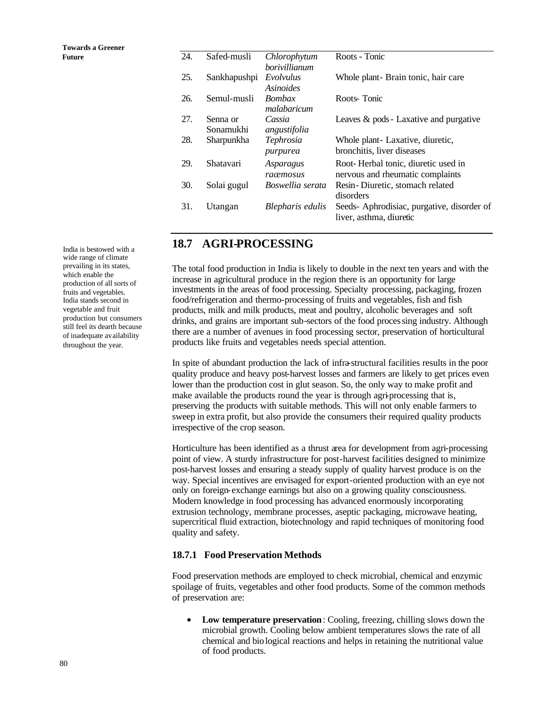| TUWALUS A UTUCHUL |     |                       |                               |                                                                         |
|-------------------|-----|-----------------------|-------------------------------|-------------------------------------------------------------------------|
| Future            | 24. | Safed-musli           | Chlorophytum<br>borivillianum | Roots - Tonic                                                           |
|                   | 25. | Sankhapushpi          | Evolvulus<br><b>Asinoides</b> | Whole plant - Brain tonic, hair care                                    |
|                   | 26. | Semul-musli           | Bombax<br>malabaricum         | Roots-Tonic                                                             |
|                   | 27. | Senna or<br>Sonamukhi | Cassia<br>angustifolia        | Leaves & pods - Laxative and purgative                                  |
|                   | 28. | Sharpunkha            | Tephrosia<br>purpurea         | Whole plant-Laxative, diuretic,<br>bronchitis, liver diseases           |
|                   | 29. | Shatavari             | Asparagus<br>raœmosus         | Root-Herbal tonic, diuretic used in<br>nervous and rheumatic complaints |
|                   | 30. | Solai gugul           | Boswellia serata              | Resin-Diuretic, stomach related<br>disorders                            |
|                   | 31. | Utangan               | Blepharis edulis              | Seeds-Aphrodisiac, purgative, disorder of<br>liver, asthma, diuretic    |

### **18.7 AGRI-PROCESSING**

The total food production in India is likely to double in the next ten years and with the increase in agricultural produce in the region there is an opportunity for large investments in the areas of food processing. Specialty processing, packaging, frozen food/refrigeration and thermo-processing of fruits and vegetables, fish and fish products, milk and milk products, meat and poultry, alcoholic beverages and soft drinks, and grains are important sub-sectors of the food processing industry. Although there are a number of avenues in food processing sector, preservation of horticultural products like fruits and vegetables needs special attention.

In spite of abundant production the lack of infra-structural facilities results in the poor quality produce and heavy post-harvest losses and farmers are likely to get prices even lower than the production cost in glut season. So, the only way to make profit and make available the products round the year is through agri-processing that is, preserving the products with suitable methods. This will not only enable farmers to sweep in extra profit, but also provide the consumers their required quality products irrespective of the crop season.

Horticulture has been identified as a thrust area for development from agri-processing point of view. A sturdy infrastructure for post-harvest facilities designed to minimize post-harvest losses and ensuring a steady supply of quality harvest produce is on the way. Special incentives are envisaged for export-oriented production with an eye not only on foreign-exchange earnings but also on a growing quality consciousness. Modern knowledge in food processing has advanced enormously incorporating extrusion technology, membrane processes, aseptic packaging, microwave heating, supercritical fluid extraction, biotechnology and rapid techniques of monitoring food quality and safety.

#### **18.7.1 Food Preservation Methods**

Food preservation methods are employed to check microbial, chemical and enzymic spoilage of fruits, vegetables and other food products. Some of the common methods of preservation are:

**Low temperature preservation**: Cooling, freezing, chilling slows down the microbial growth. Cooling below ambient temperatures slows the rate of all chemical and biological reactions and helps in retaining the nutritional value of food products.

India is bestowed with a wide range of climate prevailing in its states, which enable the production of all sorts of fruits and vegetables. India stands second in vegetable and fruit production but consumers still feel its dearth because of inadequate availability throughout the year.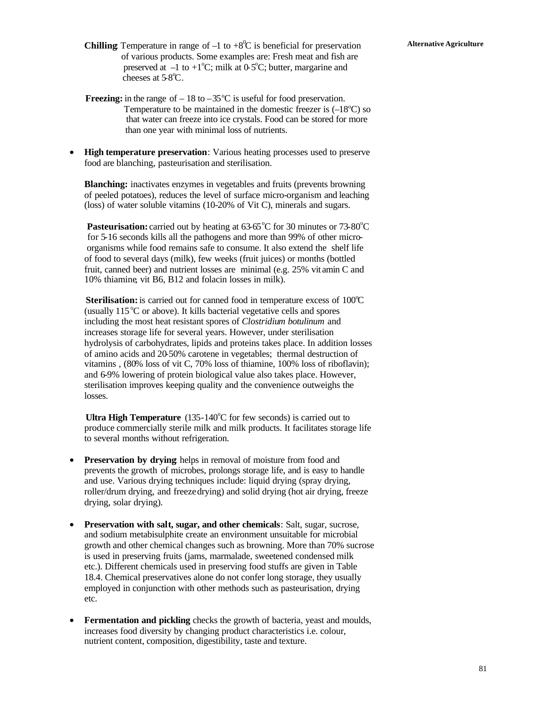- **Chilling** Temperature in range of  $-1$  to  $+8^0C$  is beneficial for preservation Alternative Agriculture of various products. Some examples are: Fresh meat and fish are preserved at  $-1$  to  $+1^{\circ}C$ ; milk at 0-5°C; butter, margarine and cheeses at  $5.8^{\circ}$ C.
	- **Freezing:** in the range of  $-18$  to  $-35^{\circ}$ C is useful for food preservation. Temperature to be maintained in the domestic freezer is  $(-18^{\circ}C)$  so that water can freeze into ice crystals. Food can be stored for more than one year with minimal loss of nutrients.
	- **High temperature preservation**: Various heating processes used to preserve food are blanching, pasteurisation and sterilisation.

**Blanching:** inactivates enzymes in vegetables and fruits (prevents browning) of peeled potatoes), reduces the level of surface micro-organism and leaching (loss) of water soluble vitamins (10-20% of Vit C), minerals and sugars.

**Pasteurisation:** carried out by heating at  $63.65^{\circ}$ C for 30 minutes or  $73.80^{\circ}$ C for 5-16 seconds kills all the pathogens and more than 99% of other micro organisms while food remains safe to consume. It also extend the shelf life of food to several days (milk), few weeks (fruit juices) or months (bottled fruit, canned beer) and nutrient losses are minimal (e.g. 25% vit amin C and 10% thiamine, vit B6, B12 and folacin losses in milk).

**Sterilisation:** is carried out for canned food in temperature excess of 100°C (usually  $115\textdegree C$  or above). It kills bacterial vegetative cells and spores including the most heat resistant spores of *Clostridium botulinum* and increases storage life for several years. However, under sterilisation hydrolysis of carbohydrates, lipids and proteins takes place. In addition losses of amino acids and 20-50% carotene in vegetables; thermal destruction of vitamins , (80% loss of vit C, 70% loss of thiamine, 100% loss of riboflavin); and 6-9% lowering of protein biological value also takes place. However, sterilisation improves keeping quality and the convenience outweighs the losses.

**Ultra High Temperature**  $(135-140^{\circ}C)$  for few seconds) is carried out to produce commercially sterile milk and milk products. It facilitates storage life to several months without refrigeration.

- **Preservation by drying** helps in removal of moisture from food and prevents the growth of microbes, prolongs storage life, and is easy to handle and use. Various drying techniques include: liquid drying (spray drying, roller/drum drying, and freeze drying) and solid drying (hot air drying, freeze drying, solar drying).
- **Preservation with salt, sugar, and other chemicals**: Salt, sugar, sucrose, and sodium metabisulphite create an environment unsuitable for microbial growth and other chemical changes such as browning. More than 70% sucrose is used in preserving fruits (jams, marmalade, sweetened condensed milk etc.). Different chemicals used in preserving food stuffs are given in Table 18.4. Chemical preservatives alone do not confer long storage, they usually employed in conjunction with other methods such as pasteurisation, drying etc.
- **Fermentation and pickling** checks the growth of bacteria, yeast and moulds, increases food diversity by changing product characteristics i.e. colour, nutrient content, composition, digestibility, taste and texture.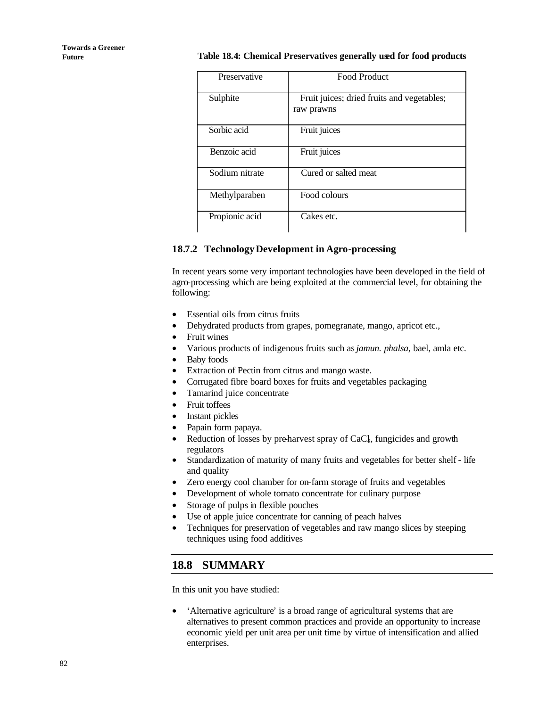#### **Future Table 18.4: Chemical Preservatives generally used for food products**

| Preservative   | <b>Food Product</b>                                      |
|----------------|----------------------------------------------------------|
| Sulphite       | Fruit juices; dried fruits and vegetables;<br>raw prawns |
| Sorbic acid    | Fruit juices                                             |
| Benzoic acid   | Fruit juices                                             |
| Sodium nitrate | Cured or salted meat                                     |
| Methylparaben  | Food colours                                             |
| Propionic acid | Cakes etc.                                               |

#### **18.7.2 TechnologyDevelopment in Agro-processing**

In recent years some very important technologies have been developed in the field of agro-processing which are being exploited at the commercial level, for obtaining the following:

- Essential oils from citrus fruits
- Dehydrated products from grapes, pomegranate, mango, apricot etc.,
- Fruit wines<br>• Various pro
- Various products of indigenous fruits such as *jamun. phalsa,* bael, amla etc.
- Baby foods
- Extraction of Pectin from citrus and mango waste.
- Corrugated fibre board boxes for fruits and vegetables packaging
- Tamarind juice concentrate
- Fruit toffees
- Instant pickles
- Papain form papaya.
- Reduction of losses by pre-harvest spray of CaCl, fungicides and growth regulators
- Standardization of maturity of many fruits and vegetables for better shelf life and quality
- Zero energy cool chamber for on-farm storage of fruits and vegetables
- Development of whole tomato concentrate for culinary purpose
- Storage of pulps in flexible pouches
- Use of apple juice concentrate for canning of peach halves
- Techniques for preservation of vegetables and raw mango slices by steeping techniques using food additives

# **18.8 SUMMARY**

In this unit you have studied:

• 'Alternative agriculture' is a broad range of agricultural systems that are alternatives to present common practices and provide an opportunity to increase economic yield per unit area per unit time by virtue of intensification and allied enterprises.